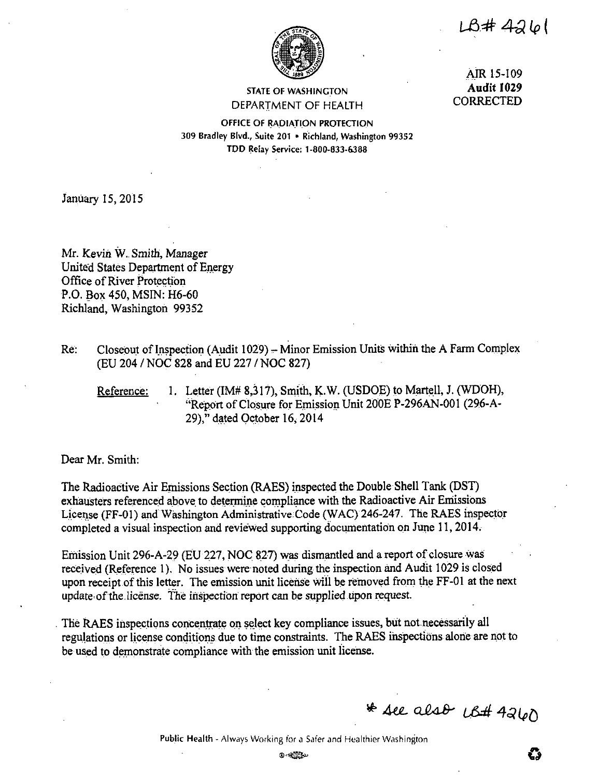$L\beta$ #426



STATE OF WASHINGTON DEPARTMENT OF HEALTH

AIR 15-109 **Audit 1029**  CORRECTED

OFFICE OF RADIATION PROTECTION. 309 Bradley Blvd., Suite 201 • Richland, Washington 99352 TDD Relay Service: 1-800-833-6388

January 15, 2015

Mr. Kevin W. Smith, Manager United States Department of Energy Office of River Protection P.O. Box 450, MSIN: H6-60 Richland, Washington 99352

- Re: Closeout of Inspection (Audit 1029) Minor Emission Units within the A Farm Complex (EU 204 / NOC 828 and EU 227 *I* NOC 827)
	- Reference: I. Letter (IM# 8,317), Smith, **K.W.** (USDOE) to Martell, J. (WDOH), "Report of Closure for Emission Unit 200E P-296AN-001 (296-A-29)," dated October 16; 2014

Dear Mr. Smith:

The Radioactive Air Emissions Section (RAES) inspected the Double Shell Tank (DST) exhausters referenced above to determine compliance with the Radioactive Air Emissions License (FF-01) and Washington Administrative Code (WAC) 246-247. The RAES inspector completed a visual inspection and reviewed supporting documentation on June 11, 2014.

Emission Unit 296-A-29 (EU 227, NOC 827) was dismantled and a report of closure was received (Reference 1). No issues were noted during the inspection and Audit 1029 is closed upon receipt of this letter. The emission unit license will be removed from the FF-01 at the next update of the license. The inspection report can be supplied upon request.

The RAES inspections concentrate on select key compliance issues, but not necessarily all regulations or license conditions due to time constraints. The RAES inspections alone are not to be used to demonstrate compliance with the emission unit license.

\* see also US# 4260